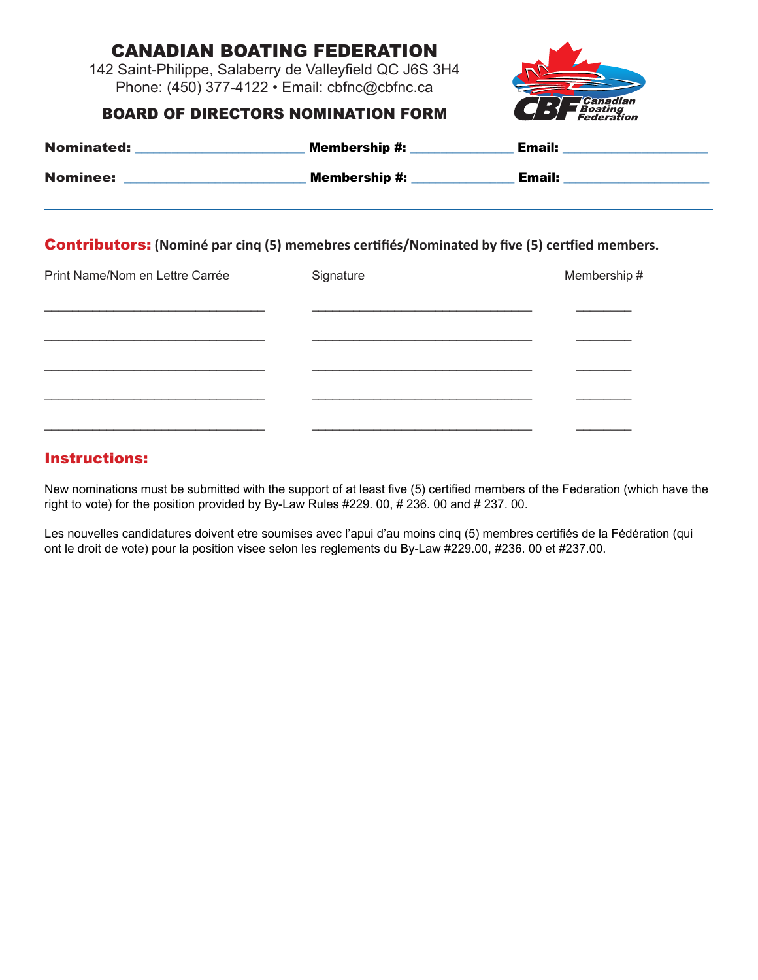# Canadian Boating Federation

142 Saint-Philippe, Salaberry de Valleyfield QC J6S 3H4 Phone: (450) 377-4122 • Email: cbfnc@cbfnc.ca



#### BOARD OF DIRECTORS NOMINATION FORM

| <b>Nominated:</b> | <b>Membership #:</b> | <b>Email:</b> |
|-------------------|----------------------|---------------|
| <b>Nominee:</b>   | <b>Membership #:</b> | <b>Email:</b> |

#### Contributors: **(Nominé par cinq (5) memebres certifiés/Nominated by five (5) certfied members.**

| Print Name/Nom en Lettre Carrée | Signature | Membership # |
|---------------------------------|-----------|--------------|
|                                 |           |              |
|                                 |           |              |
|                                 |           |              |
|                                 |           |              |
|                                 |           |              |

## Instructions:

New nominations must be submitted with the support of at least five (5) certified members of the Federation (which have the right to vote) for the position provided by By-Law Rules #229. 00, # 236. 00 and # 237. 00.

Les nouvelles candidatures doivent etre soumises avec l'apui d'au moins cinq (5) membres certifiés de la Fédération (qui ont le droit de vote) pour la position visee selon les reglements du By-Law #229.00, #236. 00 et #237.00.